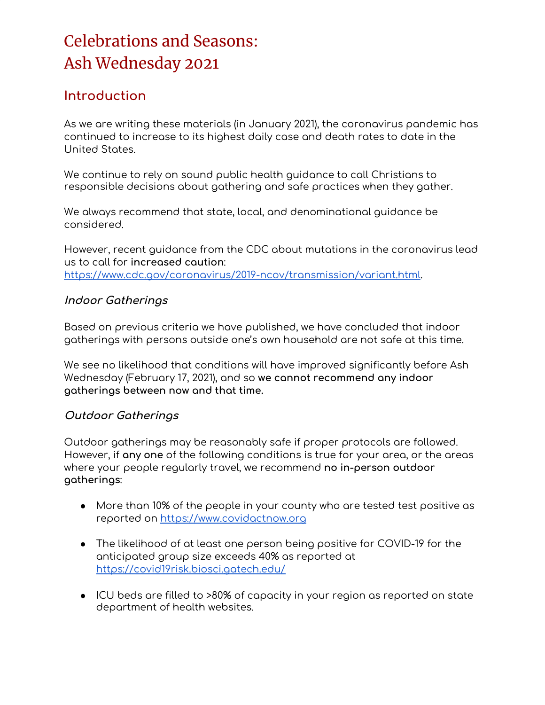### **Introduction**

As we are writing these materials (in January 2021), the coronavirus pandemic has continued to increase to its highest daily case and death rates to date in the United States.

We continue to rely on sound public health guidance to call Christians to responsible decisions about gathering and safe practices when they gather.

We always recommend that state, local, and denominational guidance be considered.

However, recent guidance from the CDC about mutations in the coronavirus lead us to call for **increased caution**: <https://www.cdc.gov/coronavirus/2019-ncov/transmission/variant.html>.

#### **Indoor Gatherings**

Based on previous criteria we have published, we have concluded that indoor gatherings with persons outside one's own household are not safe at this time.

We see no likelihood that conditions will have improved significantly before Ash Wednesday (February 17, 2021), and so **we cannot recommend any indoor gatherings between now and that time.**

#### **Outdoor Gatherings**

Outdoor gatherings may be reasonably safe if proper protocols are followed. However, if **any one** of the following conditions is true for your area, or the areas where your people regularly travel, we recommend **no in-person outdoor gatherings**:

- More than 10% of the people in your county who are tested test positive as reported on [https://www.covidactnow.org](https://www.covidactnow.org/)
- The likelihood of at least one person being positive for COVID-19 for the anticipated group size exceeds 40% as reported at <https://covid19risk.biosci.gatech.edu/>
- ICU beds are filled to >80% of capacity in your region as reported on state department of health websites.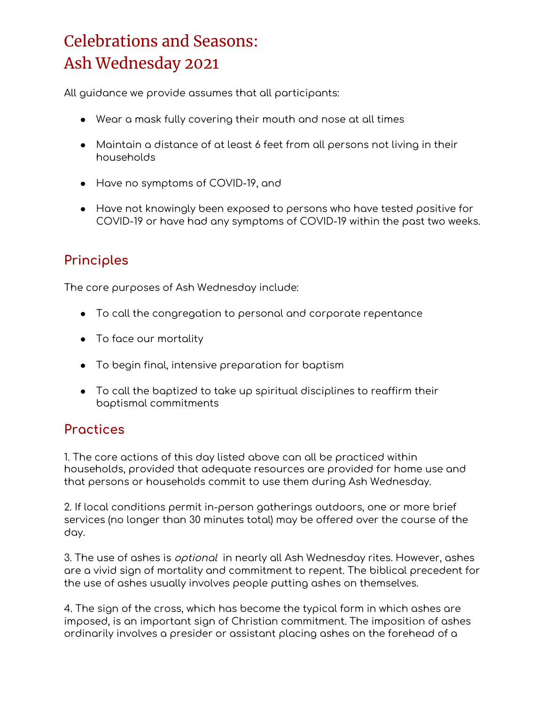All guidance we provide assumes that all participants:

- Wear a mask fully covering their mouth and nose at all times
- Maintain a distance of at least 6 feet from all persons not living in their households
- Have no symptoms of COVID-19, and
- Have not knowingly been exposed to persons who have tested positive for COVID-19 or have had any symptoms of COVID-19 within the past two weeks.

### **Principles**

The core purposes of Ash Wednesday include:

- To call the congregation to personal and corporate repentance
- To face our mortality
- To begin final, intensive preparation for baptism
- To call the baptized to take up spiritual disciplines to reaffirm their baptismal commitments

### **Practices**

1. The core actions of this day listed above can all be practiced within households, provided that adequate resources are provided for home use and that persons or households commit to use them during Ash Wednesday.

2. If local conditions permit in-person gatherings outdoors, one or more brief services (no longer than 30 minutes total) may be offered over the course of the day.

3. The use of ashes is *optional* in nearly all Ash Wednesday rites. However, ashes are a vivid sign of mortality and commitment to repent. The biblical precedent for the use of ashes usually involves people putting ashes on themselves.

4. The sign of the cross, which has become the typical form in which ashes are imposed, is an important sign of Christian commitment. The imposition of ashes ordinarily involves a presider or assistant placing ashes on the forehead of a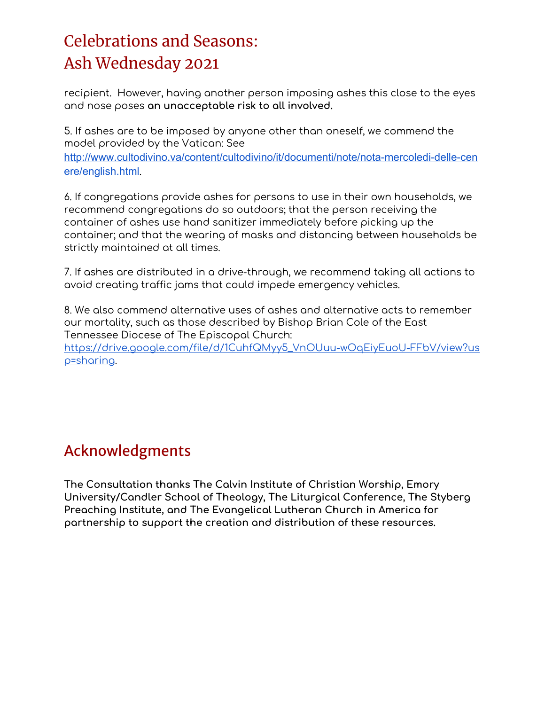recipient. However, having another person imposing ashes this close to the eyes and nose poses **an unacceptable risk to all involved.**

5. If ashes are to be imposed by anyone other than oneself, we commend the model provided by the Vatican: See

[http://www.cultodivino.va/content/cultodivino/it/documenti/note/nota-mercoledi-delle-cen](http://www.cultodivino.va/content/cultodivino/it/documenti/note/nota-mercoledi-delle-cenere/english.html) [ere/english.html](http://www.cultodivino.va/content/cultodivino/it/documenti/note/nota-mercoledi-delle-cenere/english.html).

6. If congregations provide ashes for persons to use in their own households, we recommend congregations do so outdoors; that the person receiving the container of ashes use hand sanitizer immediately before picking up the container; and that the wearing of masks and distancing between households be strictly maintained at all times.

7. If ashes are distributed in a drive-through, we recommend taking all actions to avoid creating traffic jams that could impede emergency vehicles.

8. We also commend alternative uses of ashes and alternative acts to remember our mortality, such as those described by Bishop Brian Cole of the East Tennessee Diocese of The Episcopal Church:

[https://drive.google.com/file/d/1CuhfQMyy5\\_VnOUuu-wOqEiyEuoU-FFbV/view?us](https://drive.google.com/file/d/1CuhfQMyy5_VnOUuu-wOqEiyEuoU-FFbV/view?usp=sharing) [p=sharing](https://drive.google.com/file/d/1CuhfQMyy5_VnOUuu-wOqEiyEuoU-FFbV/view?usp=sharing).

### Acknowledgments

**The Consultation thanks The Calvin Institute of Christian Worship, Emory University/Candler School of Theology, The Liturgical Conference, The Styberg Preaching Institute, and The Evangelical Lutheran Church in America for partnership to support the creation and distribution of these resources.**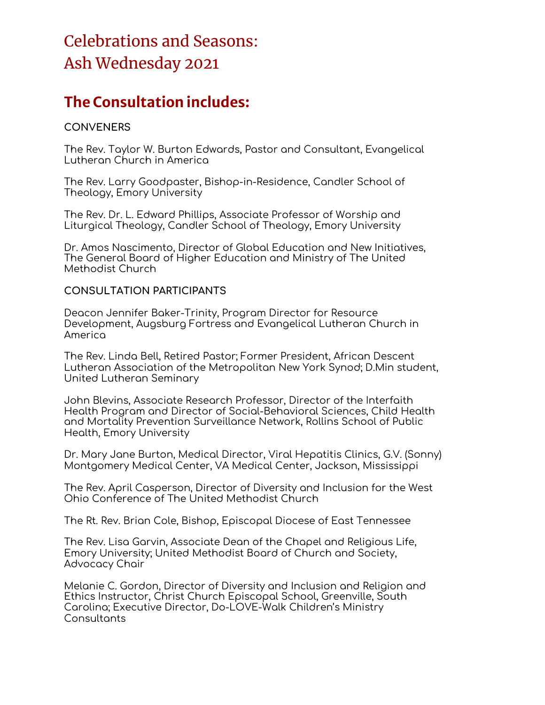### **The Consultation includes:**

#### **CONVENERS**

The Rev. Taylor W. Burton Edwards, Pastor and Consultant, Evangelical Lutheran Church in America

The Rev. Larry Goodpaster, Bishop-in-Residence, Candler School of Theology, Emory University

The Rev. Dr. L. Edward Phillips, Associate Professor of Worship and Liturgical Theology, Candler School of Theology, Emory University

Dr. Amos Nascimento, Director of Global Education and New Initiatives, The General Board of Higher Education and Ministry of The United Methodist Church

#### **CONSULTATION PARTICIPANTS**

Deacon Jennifer Baker-Trinity, Program Director for Resource Development, Augsburg Fortress and Evangelical Lutheran Church in America

The Rev. Linda Bell, Retired Pastor; Former President, African Descent Lutheran Association of the Metropolitan New York Synod; D.Min student, United Lutheran Seminary

John Blevins, Associate Research Professor, Director of the Interfaith Health Program and Director of Social-Behavioral Sciences, Child Health and Mortality Prevention Surveillance Network, Rollins School of Public Health, Emory University

Dr. Mary Jane Burton, Medical Director, Viral Hepatitis Clinics, G.V. (Sonny) Montgomery Medical Center, VA Medical Center, Jackson, Mississippi

The Rev. April Casperson, Director of Diversity and Inclusion for the West Ohio Conference of The United Methodist Church

The Rt. Rev. Brian Cole, Bishop, Episcopal Diocese of East Tennessee

The Rev. Lisa Garvin, Associate Dean of the Chapel and Religious Life, Emory University; United Methodist Board of Church and Society, Advocacy Chair

Melanie C. Gordon, Director of Diversity and Inclusion and Religion and Ethics Instructor, Christ Church Episcopal School, Greenville, South Carolina; Executive Director, Do-LOVE-Walk Children's Ministry **Consultants**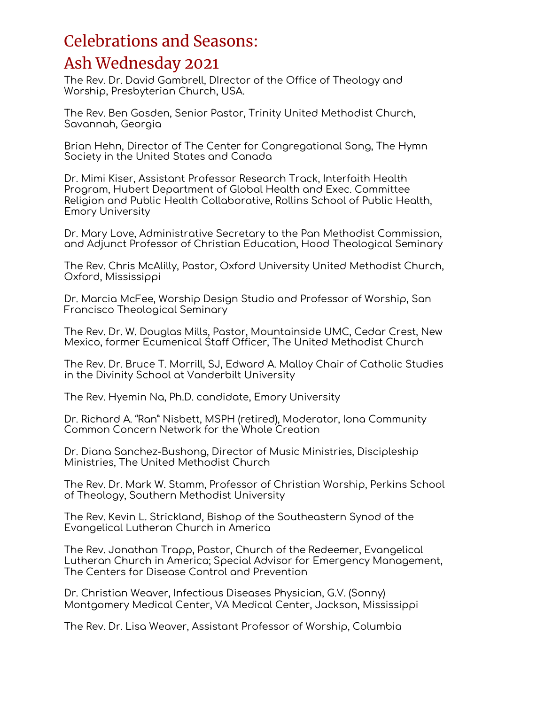The Rev. Dr. David Gambrell, DIrector of the Office of Theology and Worship, Presbyterian Church, USA.

The Rev. Ben Gosden, Senior Pastor, Trinity United Methodist Church, Savannah, Georgia

Brian Hehn, Director of The Center for Congregational Song, The Hymn Society in the United States and Canada

Dr. Mimi Kiser, Assistant Professor Research Track, Interfaith Health Program, Hubert Department of Global Health and Exec. Committee Religion and Public Health Collaborative, Rollins School of Public Health, Emory University

Dr. Mary Love, Administrative Secretary to the Pan Methodist Commission, and Adjunct Professor of Christian Education, Hood Theological Seminary

The Rev. Chris McAlilly, Pastor, Oxford University United Methodist Church, Oxford, Mississippi

Dr. Marcia McFee, Worship Design Studio and Professor of Worship, San Francisco Theological Seminary

The Rev. Dr. W. Douglas Mills, Pastor, Mountainside UMC, Cedar Crest, New Mexico, former Ecumenical Staff Officer, The United Methodist Church

The Rev. Dr. Bruce T. Morrill, SJ, Edward A. Malloy Chair of Catholic Studies in the Divinity School at Vanderbilt University

The Rev. Hyemin Na, Ph.D. candidate, Emory University

Dr. Richard A. "Ran" Nisbett, MSPH (retired), Moderator, Iona Community Common Concern Network for the Whole Creation

Dr. Diana Sanchez-Bushong, Director of Music Ministries, Discipleship Ministries, The United Methodist Church

The Rev. Dr. Mark W. Stamm, Professor of Christian Worship, Perkins School of Theology, Southern Methodist University

The Rev. Kevin L. Strickland, Bishop of the Southeastern Synod of the Evangelical Lutheran Church in America

The Rev. Jonathan Trapp, Pastor, Church of the Redeemer, Evangelical Lutheran Church in America; Special Advisor for Emergency Management, The Centers for Disease Control and Prevention

Dr. Christian Weaver, Infectious Diseases Physician, G.V. (Sonny) Montgomery Medical Center, VA Medical Center, Jackson, Mississippi

The Rev. Dr. Lisa Weaver, Assistant Professor of Worship, Columbia